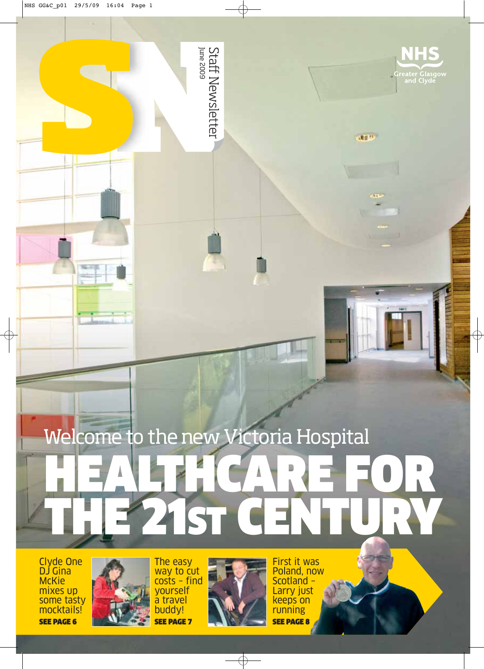

**ATT**<sup>12</sup>

# Staff Newsletter<br><sup>June 2009</sup>

# Welcome to the new Victoria Hospital HEALTHCARE FOR THE 21ST CENTURY

Clyde One DJ Gina **McKie** mixes up some tasty mocktails! SEE PAGE 6



The easy way to cut costs – find yourself a travel buddy! SEE PAGE 7



First it was Poland, now Scotland – Larry just keeps on running SEE PAGE 8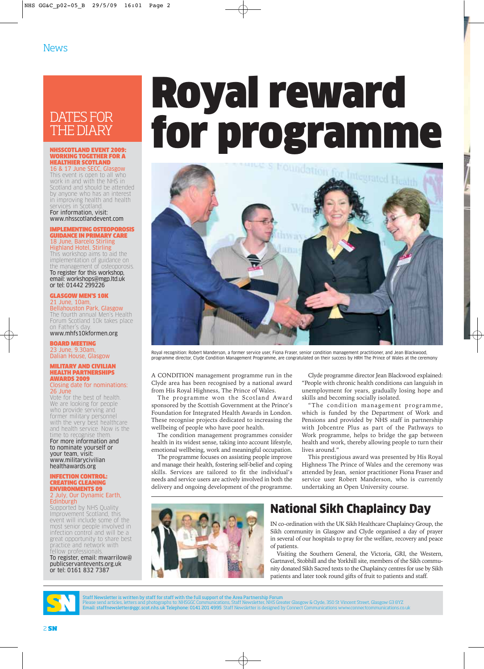# DATES FOR THE DIARY

### NHSSCOTLAND EVENT 2009: WORKING TOGETHER FOR A HEALTHIER SCOTLAND 16 & 17 June SECC, Glasgow

This event is open to all who work in and with the NHS in Scotland and should be attended by anyone who has an interest in improving health and health<br>services in Scotland services in Scotland. For information, visit:

www.nhsscotlandevent.com

### IMPLEMENTING OSTEOPOROSIS GUIDANCE IN PRIMARY CARE 18 June, Barcelo Stirling Highland Hotel, Stirling

This workshop aims to aid the implementation of guidance on the management of osteoporosis. To register for this workshop, email: workshops@mgp.ltd.uk or tel: 01442 299226

GLASGOW MEN'S 10K 21 June, 10am,

Bellahouston Park, Glasgow The fourth annual Men's Health Forum Scotland 10k takes place on Father's day

www.mhfs10kformen.org BOARD MEETING 23 June, 9.30am, Dalian House, Glasgow

### MILITARY AND CIVILIAN HEALTH PARTNERSHIPS AWARDS 2009 Closing date for nominations:

26 June Vote for the best of health. We are looking for people who provide serving and former military personnel with the very best healthcare and health service. Now is the time to recognise them. For more information and to nominate yourself or your team, visit: www.militarycivilian healthawards.org

### INFECTION CONTROL: CREATING CLEANING ENVIRONMENTS 09 2 July, Our Dynamic Earth, Edinburgh

Supported by NHS Quality Improvement Scotland, this event will include some of the most senior people involved in infection control and will be a great opportunity to share best practice and network with fellow professionals. To register, email: mwarrilow@ publicservantevents.org.uk

or tel: 0161 832 7387

Royal reward for programme



Royal recognition: Robert Manderson, a former service user, Fiona Fraser, senior condition management practitioner, and Jean Blackwood, programme director, Clyde Condition Management Programme, are congratulated on their success by HRH The Prince of Wales at the ceremony

A CONDITION management programme run in the Clyde area has been recognised by a national award from His Royal Highness, The Prince of Wales.

The programme won the Scotland Award sponsored by the Scottish Government at the Prince's Foundation for Integrated Health Awards in London. These recognise projects dedicated to increasing the wellbeing of people who have poor health.

The condition management programmes consider health in its widest sense, taking into account lifestyle, emotional wellbeing, work and meaningful occupation.

The programme focuses on assisting people improve and manage their health, fostering self-belief and coping skills. Services are tailored to fit the individual's needs and service users are actively involved in both the delivery and ongoing development of the programme.

Clyde programme director Jean Blackwood explained: "People with chronic health conditions can languish in unemployment for years, gradually losing hope and skills and becoming socially isolated.

"The condition management programme, which is funded by the Department of Work and Pensions and provided by NHS staff in partnership with Jobcentre Plus as part of the Pathways to Work programme, helps to bridge the gap between health and work, thereby allowing people to turn their lives around."

This prestigious award was presented by His Royal Highness The Prince of Wales and the ceremony was attended by Jean, senior practitioner Fiona Fraser and service user Robert Manderson, who is currently undertaking an Open University course.



# National Sikh Chaplaincy Day

IN co-ordination with the UK Sikh Healthcare Chaplaincy Group, the Sikh community in Glasgow and Clyde organised a day of prayer in several of our hospitals to pray for the welfare, recovery and peace of patients.

Visiting the Southern General, the Victoria, GRI, the Western, Gartnavel, Stobhill and the Yorkhill site, members of the Sikh community donated Sikh Sacred texts to the Chaplaincy centres for use by Sikh patients and later took round gifts of fruit to patients and staff.



Staff Newsletter is written by staff for staff with the full support of the Area Partnership Forum<br>Please send articles, letters and photographs to: NHSGGC Communications, Staff Newsletter, NHS Greater Glasgow<br>Email: staff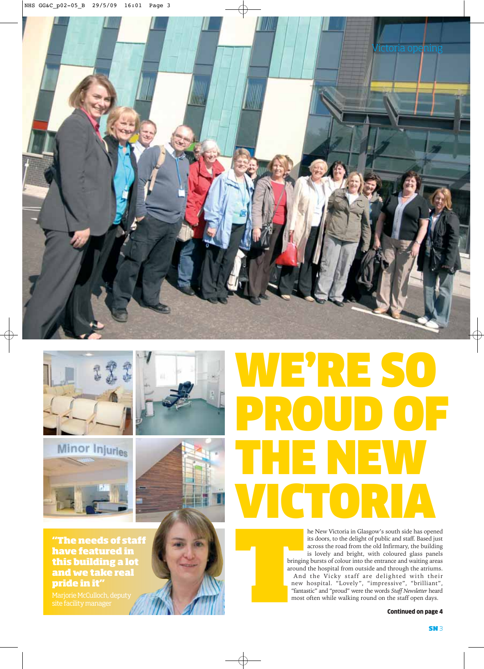



Minor Injuries

**"The needs of staff have featured in this building a lot and we take real pride in it"**

# WE'RE SO PROUD OF THE NEW **CTO**

he New Victoria in Glasgow's south side has opened its doors, to the delight of public and staff. Based just across the road from the old Infirmary, the building is lovely and bright, with coloured glass panels bringing bursts of colour into the entrance and waiting areas around the hospital from outside and through the atriums. And the Vicky staff are delighted with their new hospital. "Lovely", "impressive", "brilliant", "fantastic" and "proud" were the words *Staff Newsletter* heard most often while walking round on the staff open days.

Continued on page 4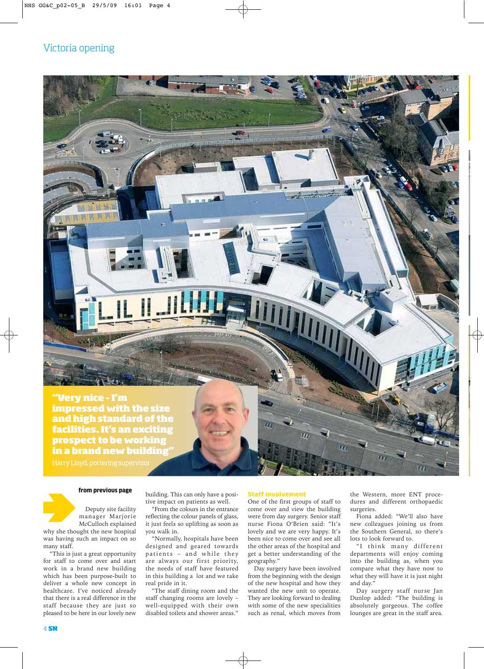**"Very nice – I'm impressed with the size and high standard of the facilities. It's an exciting prospect to be working in a brand new building"**

Harry Lloyd, portering supervisor



### from previous page

Deputy site facility manager Marjorie

McCulloch explained why she thought the new hospital was having such an impact on so many staff.

"This is just a great opportunity for staff to come over and start work in a brand new building which has been purpose-built to deliver a whole new concept in healthcare. I've noticed already that there is a real difference in the staff because they are just so pleased to be here in our lovely new building. This can only have a positive impact on patients as well.

لمبرين

"From the colours in the entrance reflecting the colour panels of glass, it just feels so uplifting as soon as you walk in.

"Normally, hospitals have been designed and geared towards patients – and while they are always our first priority, the needs of staff have featured in this building a lot and we take real pride in it.

"The staff dining room and the staff changing rooms are lovely – well-equipped with their own disabled toilets and shower areas."

### **Staff involvement**

One of the first groups of staff to come over and view the building were from day surgery. Senior staff nurse Fiona O'Brien said: "It's lovely and we are very happy. It's been nice to come over and see all the other areas of the hospital and get a better understanding of the geography."

Day surgery have been involved from the beginning with the design of the new hospital and how they wanted the new unit to operate. They are looking forward to dealing with some of the new specialities such as renal, which moves from the Western, more ENT procedures and different orthopaedic surgeries.

Fiona added: "We'll also have new colleagues joining us from the Southern General, so there's lots to look forward to.

"I think many different departments will enjoy coming into the building as, when you compare what they have now to what they will have it is just night and day."

Day surgery staff nurse Jan Dunlop added: "The building is absolutely gorgeous. The coffee lounges are great in the staff area.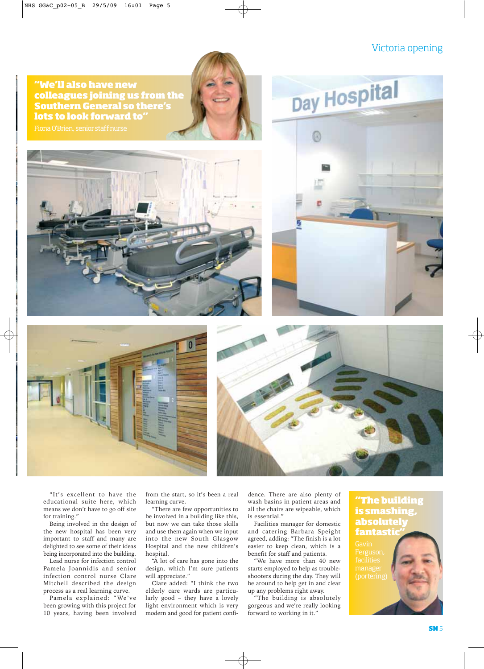## Victoria opening

**"We'll also have new colleagues joining us from the Southern General so there's lots to look forward to"**









"It's excellent to have the educational suite here, which means we don't have to go off site for training."

Being involved in the design of the new hospital has been very important to staff and many are delighted to see some of their ideas being incorporated into the building.

Lead nurse for infection control Pamela Joannidis and senior infection control nurse Clare Mitchell described the design process as a real learning curve.

Pamela explained: "We've been growing with this project for 10 years, having been involved from the start, so it's been a real learning curve.

"There are few opportunities to be involved in a building like this, but now we can take those skills and use them again when we input into the new South Glasgow Hospital and the new children's hospital.

"A lot of care has gone into the design, which I'm sure patients will appreciate."

Clare added: "I think the two elderly care wards are particularly good – they have a lovely light environment which is very modern and good for patient confidence. There are also plenty of wash basins in patient areas and all the chairs are wipeable, which is essential."

Facilities manager for domestic and catering Barbara Speight agreed, adding: "The finish is a lot easier to keep clean, which is a benefit for staff and patients.

"We have more than 40 new starts employed to help as troubleshooters during the day. They will be around to help get in and clear up any problems right away.

"The building is absolutely gorgeous and we're really looking forward to working in it."

## **"The building is smashing, absolutely fantastic"**

facilities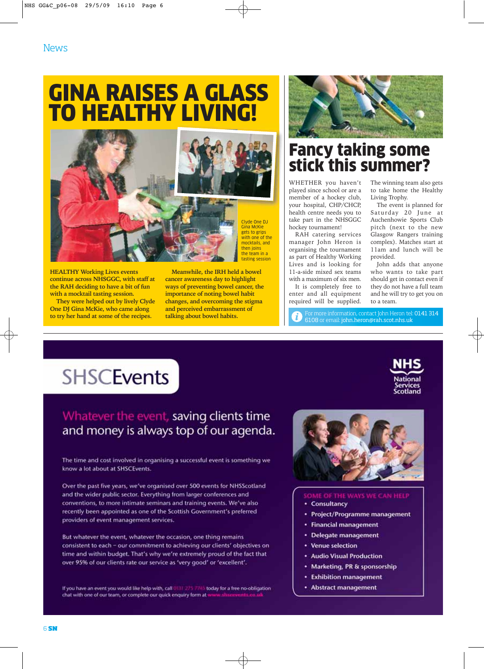**News** 

# GINA RAISES A GLASS **O HEALTHY LIVING!**



**HEALTHY Working Lives events continue across NHSGGC, with staff at the RAH deciding to have a bit of fun with a mocktail tasting session.** 

**They were helped out by lively Clyde One DJ Gina McKie, who came along to try her hand at some of the recipes.**

**Meanwhile, the IRH held a bowel cancer awareness day to highlight ways of preventing bowel cancer, the importance of noting bowel habit changes, and overcoming the stigma and perceived embarrassment of talking about bowel habits.** 



# Fancy taking some stick this summer?

WHETHER you haven't played since school or are a member of a hockey club, your hospital, CHP/CHCP, health centre needs you to take part in the NHSGGC hockey tournament!

RAH catering services manager John Heron is organising the tournament as part of Healthy Working Lives and is looking for 11-a-side mixed sex teams with a maximum of six men.

It is completely free to enter and all equipment required will be supplied.

For more information, contact John Heron tel: 0141 314 6108 or email: john.heron@rah.scot.nhs.uk

The winning team also gets to take home the Healthy Living Trophy.

The event is planned for Saturday 20 June at Auchenhowie Sports Club pitch (next to the new Glasgow Rangers training complex). Matches start at 11am and lunch will be provided.

John adds that anyone who wants to take part should get in contact even if they do not have a full team and he will try to get you on to a team.

# **SHSCEvents**

# Whatever the event, saving clients time and money is always top of our agenda.

The time and cost involved in organising a successful event is something we know a lot about at SHSCEvents.

Over the past five years, we've organised over 500 events for NHSScotland and the wider public sector. Everything from larger conferences and conventions, to more intimate seminars and training events. We've also recently been appointed as one of the Scottish Government's preferred providers of event management services.

But whatever the event, whatever the occasion, one thing remains consistent to each - our commitment to achieving our clients' objectives on time and within budget. That's why we're extremely proud of the fact that over 95% of our clients rate our service as 'very good' or 'excellent'.

If you have an event you would like help with, call 0131-22 as today for a free no-obligation chat with one of our team, or complete our quick enquiry form at w



### OF THE WAYS WE CAN HELP

- Consultancy
- Project/Programme management
- **Financial management**
- Delegate management
- Venue selection
- **Audio Visual Production**
- Marketing, PR & sponsorship
- **Exhibition management**
- Abstract management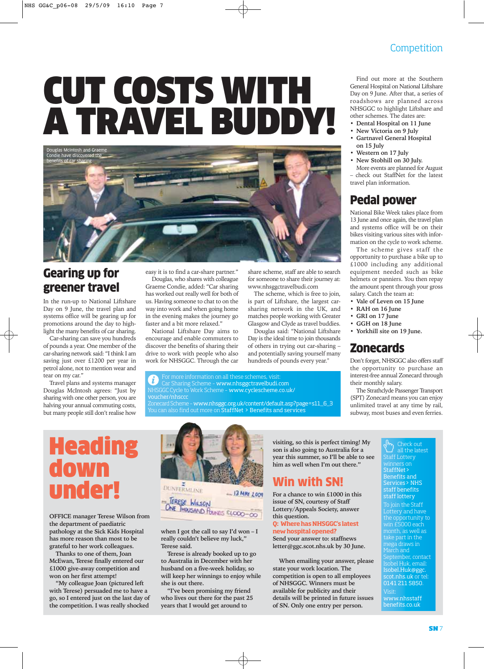# CUT COSTS WITH A TRAVEL BUDDY!



# Gearing up for greener travel

In the run-up to National Liftshare Day on 9 June, the travel plan and systems office will be gearing up for promotions around the day to highlight the many benefits of car sharing.

Car-sharing can save you hundreds of pounds a year. One member of the car-sharing network said: "I think I am saving just over £1200 per year in petrol alone, not to mention wear and tear on my car."

Travel plans and systems manager Douglas McIntosh agrees: "Just by sharing with one other person, you are halving your annual commuting costs, but many people still don't realise how easy it is to find a car-share partner." Douglas, who shares with colleague Graeme Condie, added: "Car sharing has worked out really well for both of us. Having someone to chat to on the way into work and when going home in the evening makes the journey go faster and a bit more relaxed."

National Liftshare Day aims to encourage and enable commuters to discover the benefits of sharing their drive to work with people who also work for NHSGGC. Through the car

share scheme, staff are able to search for someone to share their journey at: www.nhsggctravelbudi.com

The scheme, which is free to join, is part of Liftshare, the largest carsharing network in the UK, and matches people working with Greater Glasgow and Clyde as travel buddies.

Douglas said: "National Liftshare Day is the ideal time to join thousands of others in trying out car-sharing – and potentially saving yourself many hundreds of pounds every year."

For more information on all these schemes, visi i Car Sharing Scheme – www.nhsggctravelbudi.com NHSGGC Cycle to Work Scheme – www.cyclescheme.co.uk/ voucher/nhsccc Zonecard Scheme – www.nhsggc.org.uk/content/default.asp?page=s11\_6\_3

You can also find out more on StaffNet > Benefits and services

**Heading** down under!

**OFFICE manager Terese Wilson from the department of paediatric pathology at the Sick Kids Hospital has more reason than most to be grateful to her work colleagues.**

**Thanks to one of them, Joan McEwan, Terese finally entered our £1000 give-away competition and won on her first attempt!** 

**"My colleague Joan (pictured left with Terese) persuaded me to have a go, so I entered just on the last day of the competition. I was really shocked**



TERESE WILSON

**when I got the call to say I'd won – I really couldn't believe my luck," Terese said.**

**Terese is already booked up to go to Australia in December with her husband on a five-week holiday, so will keep her winnings to enjoy while she is out there.** 

**"I've been promising my friend who lives out there for the past 25 years that I would get around to** 

**visiting, so this is perfect timing! My son is also going to Australia for a year this summer, so I'll be able to see him as well when I'm out there."**

# Win with SN!

**For a chance to win £1000 in this issue of SN, courtesy of Staff Lottery/Appeals Society, answer this question.**

**Q: Where has NHSGGC's latest new hospital opened?**

**Send your answer to: staffnews letter@ggc.scot.nhs.uk by 30 June.**

**When emailing your answer, please state your work location. The competition is open to all employees of NHSGGC. Winners must be available for publicity and their details will be printed in future issues of SN. Only one entry per person.** 

Find out more at the Southern General Hospital on National Liftshare Day on 9 June. After that, a series of roadshows are planned across NHSGGC to highlight Liftshare and other schemes. The dates are:

- **Dental Hospital on 11 June**
- **New Victoria on 9 July**
- **Gartnavel General Hospital on 15 July**
- **Western on 17 July**
- **New Stobhill on 30 July.**

More events are planned for August – check out StaffNet for the latest travel plan information.

# Pedal power

National Bike Week takes place from 13 June and once again, the travel plan and systems office will be on their bikes visiting various sites with information on the cycle to work scheme.

The scheme gives staff the opportunity to purchase a bike up to £1000 including any additional equipment needed such as bike helmets or panniers. You then repay the amount spent through your gross salary. Catch the team at:

- **Vale of Leven on 15 June**
- **RAH on 16 June**
- **GRI on 17 June**
- **GGH on 18 June**
- **Yorkhill site on 19 June.**

## Zonecards

Don't forget, NHSGGC also offers staff the opportunity to purchase an interest-free annual Zonecard through their monthly salary.

The Strathclyde Passenger Transport (SPT) Zonecard means you can enjoy unlimited travel at any time by rail, subway, most buses and even ferries.

### Check out all the latest Staff Lottery winners on  $\overline{\ }$ StaffNet> Benefits and Services> NHS staff benefits staff lottery

To join the Staff Lottery and have the opportunity to win £5000 each month, as well as take part in the mega draws in March and September, contact Isobel Huk, email: Isobel.Huk@ggc. scot.nhs.uk or tel: 0141 211 5850. Visit: www.nhsstaff benefits.co.uk